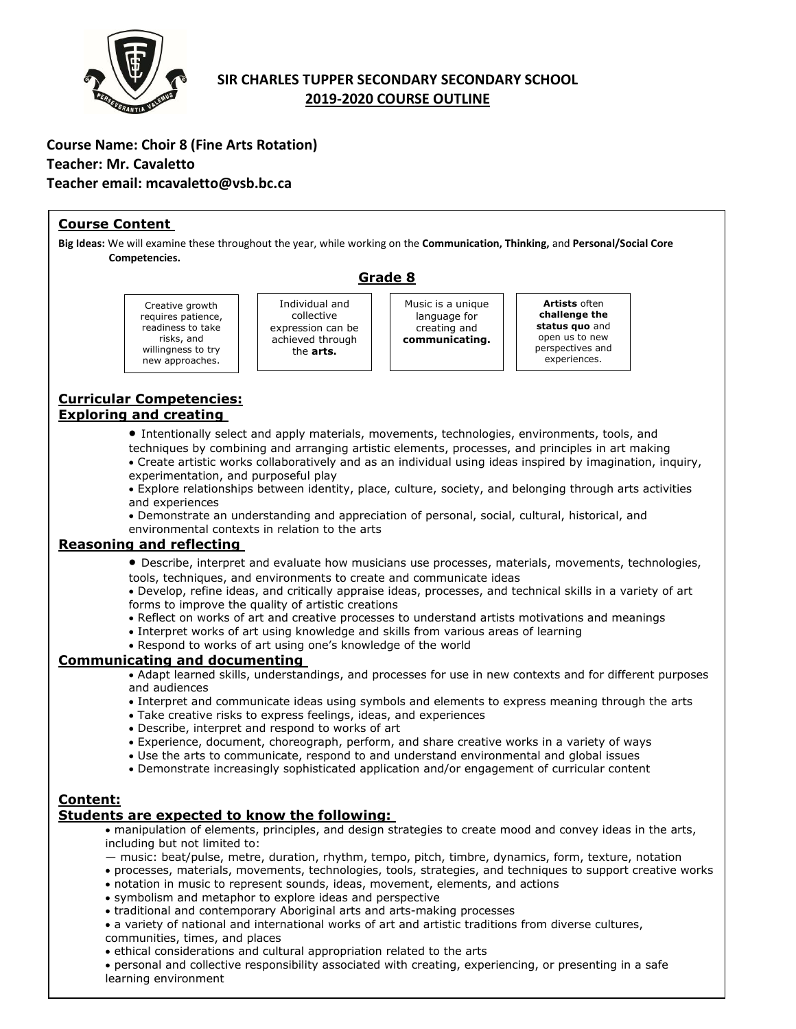

# **SIR CHARLES TUPPER SECONDARY SECONDARY SCHOOL 2019-2020 COURSE OUTLINE**

## **Course Name: Choir 8 (Fine Arts Rotation) Teacher: Mr. Cavaletto Teacher email: mcavaletto@vsb.bc.ca**

willingness to try new approaches.

### **Course Content**

**Big Ideas:** We will examine these throughout the year, while working on the **Communication, Thinking,** and **Personal/Social Core Competencies.**

**Grade 8**

Creative growth requires patience, readiness to take risks, and

Individual and collective expression can be achieved through the **arts.**

Music is a unique language for creating and **communicating.**

**Artists** often **challenge the status quo** and open us to new perspectives and experiences.

### **Curricular Competencies: Exploring and creating**

• Intentionally select and apply materials, movements, technologies, environments, tools, and

techniques by combining and arranging artistic elements, processes, and principles in art making • Create artistic works collaboratively and as an individual using ideas inspired by imagination, inquiry,

experimentation, and purposeful play

• Explore relationships between identity, place, culture, society, and belonging through arts activities and experiences

• Demonstrate an understanding and appreciation of personal, social, cultural, historical, and environmental contexts in relation to the arts

## **Reasoning and reflecting**

• Describe, interpret and evaluate how musicians use processes, materials, movements, technologies, tools, techniques, and environments to create and communicate ideas

• Develop, refine ideas, and critically appraise ideas, processes, and technical skills in a variety of art forms to improve the quality of artistic creations

- Reflect on works of art and creative processes to understand artists motivations and meanings
- Interpret works of art using knowledge and skills from various areas of learning
- Respond to works of art using one's knowledge of the world

### **Communicating and documenting**

• Adapt learned skills, understandings, and processes for use in new contexts and for different purposes and audiences

- Interpret and communicate ideas using symbols and elements to express meaning through the arts
- Take creative risks to express feelings, ideas, and experiences
- Describe, interpret and respond to works of art
- Experience, document, choreograph, perform, and share creative works in a variety of ways
- Use the arts to communicate, respond to and understand environmental and global issues
- Demonstrate increasingly sophisticated application and/or engagement of curricular content

### **Content:**

### **Students are expected to know the following:**

- manipulation of elements, principles, and design strategies to create mood and convey ideas in the arts, including but not limited to:
- music: beat/pulse, metre, duration, rhythm, tempo, pitch, timbre, dynamics, form, texture, notation
- processes, materials, movements, technologies, tools, strategies, and techniques to support creative works • notation in music to represent sounds, ideas, movement, elements, and actions
- symbolism and metaphor to explore ideas and perspective
- traditional and contemporary Aboriginal arts and arts-making processes

• a variety of national and international works of art and artistic traditions from diverse cultures,

- communities, times, and places
- ethical considerations and cultural appropriation related to the arts

• personal and collective responsibility associated with creating, experiencing, or presenting in a safe learning environment